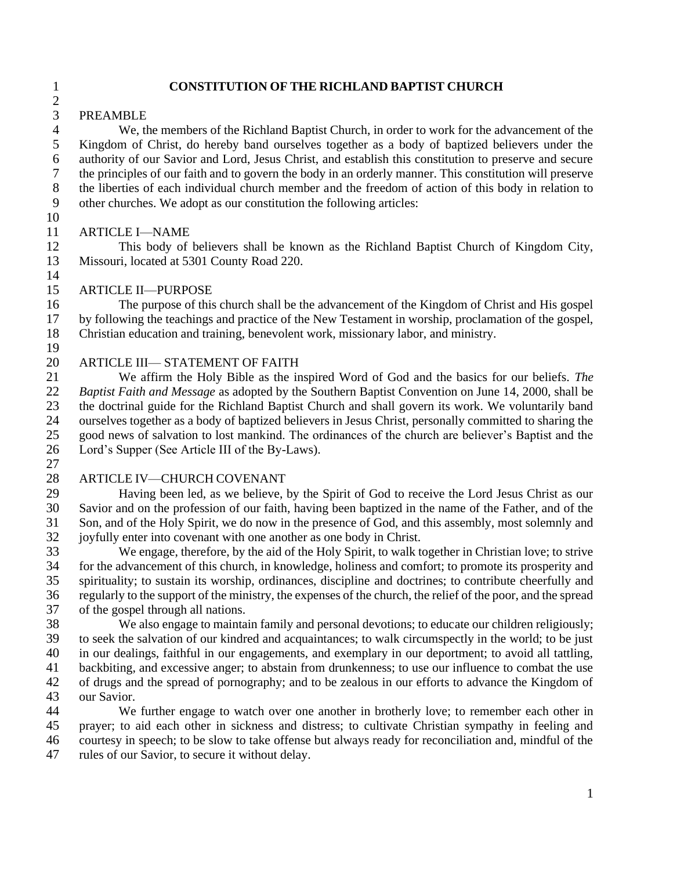#### **CONSTITUTION OF THE RICHLAND BAPTIST CHURCH**

#### PREAMBLE

 We, the members of the Richland Baptist Church, in order to work for the advancement of the Kingdom of Christ, do hereby band ourselves together as a body of baptized believers under the authority of our Savior and Lord, Jesus Christ, and establish this constitution to preserve and secure the principles of our faith and to govern the body in an orderly manner. This constitution will preserve the liberties of each individual church member and the freedom of action of this body in relation to other churches. We adopt as our constitution the following articles:

### ARTICLE I—NAME

 This body of believers shall be known as the Richland Baptist Church of Kingdom City, Missouri, located at 5301 County Road 220.

ARTICLE II—PURPOSE

 The purpose of this church shall be the advancement of the Kingdom of Christ and His gospel by following the teachings and practice of the New Testament in worship, proclamation of the gospel, Christian education and training, benevolent work, missionary labor, and ministry.

## ARTICLE III— STATEMENT OF FAITH

 We affirm the Holy Bible as the inspired Word of God and the basics for our beliefs. *The Baptist Faith and Message* as adopted by the Southern Baptist Convention on June 14, 2000, shall be the doctrinal guide for the Richland Baptist Church and shall govern its work. We voluntarily band ourselves together as a body of baptized believers in Jesus Christ, personally committed to sharing the good news of salvation to lost mankind. The ordinances of the church are believer's Baptist and the Lord's Supper (See Article III of the By-Laws).

#### ARTICLE IV—CHURCH COVENANT

 Having been led, as we believe, by the Spirit of God to receive the Lord Jesus Christ as our Savior and on the profession of our faith, having been baptized in the name of the Father, and of the Son, and of the Holy Spirit, we do now in the presence of God, and this assembly, most solemnly and 32 joyfully enter into covenant with one another as one body in Christ.<br>33 We engage, therefore, by the aid of the Holy Spirit, to walk to

We engage, therefore, by the aid of the Holy Spirit, to walk together in Christian love; to strive for the advancement of this church, in knowledge, holiness and comfort; to promote its prosperity and spirituality; to sustain its worship, ordinances, discipline and doctrines; to contribute cheerfully and regularly to the support of the ministry, the expenses of the church, the relief of the poor, and the spread of the gospel through all nations.

 We also engage to maintain family and personal devotions; to educate our children religiously; to seek the salvation of our kindred and acquaintances; to walk circumspectly in the world; to be just in our dealings, faithful in our engagements, and exemplary in our deportment; to avoid all tattling, backbiting, and excessive anger; to abstain from drunkenness; to use our influence to combat the use of drugs and the spread of pornography; and to be zealous in our efforts to advance the Kingdom of our Savior.

 We further engage to watch over one another in brotherly love; to remember each other in prayer; to aid each other in sickness and distress; to cultivate Christian sympathy in feeling and courtesy in speech; to be slow to take offense but always ready for reconciliation and, mindful of the rules of our Savior, to secure it without delay.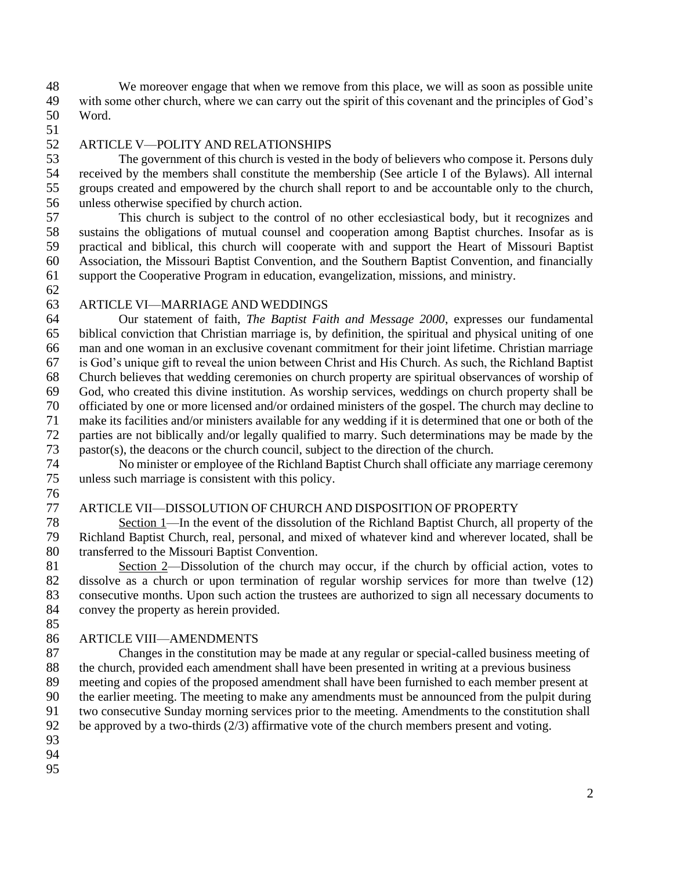We moreover engage that when we remove from this place, we will as soon as possible unite with some other church, where we can carry out the spirit of this covenant and the principles of God's Word.

## ARTICLE V—POLITY AND RELATIONSHIPS

 The government of this church is vested in the body of believers who compose it. Persons duly received by the members shall constitute the membership (See article I of the Bylaws). All internal groups created and empowered by the church shall report to and be accountable only to the church, unless otherwise specified by church action.

 This church is subject to the control of no other ecclesiastical body, but it recognizes and sustains the obligations of mutual counsel and cooperation among Baptist churches. Insofar as is practical and biblical, this church will cooperate with and support the Heart of Missouri Baptist Association, the Missouri Baptist Convention, and the Southern Baptist Convention, and financially support the Cooperative Program in education, evangelization, missions, and ministry.

## ARTICLE VI—MARRIAGE AND WEDDINGS

 Our statement of faith, *The Baptist Faith and Message 2000*, expresses our fundamental biblical conviction that Christian marriage is, by definition, the spiritual and physical uniting of one man and one woman in an exclusive covenant commitment for their joint lifetime. Christian marriage is God's unique gift to reveal the union between Christ and His Church. As such, the Richland Baptist Church believes that wedding ceremonies on church property are spiritual observances of worship of God, who created this divine institution. As worship services, weddings on church property shall be officiated by one or more licensed and/or ordained ministers of the gospel. The church may decline to make its facilities and/or ministers available for any wedding if it is determined that one or both of the parties are not biblically and/or legally qualified to marry. Such determinations may be made by the pastor(s), the deacons or the church council, subject to the direction of the church.

 No minister or employee of the Richland Baptist Church shall officiate any marriage ceremony unless such marriage is consistent with this policy.

#### ARTICLE VII—DISSOLUTION OF CHURCH AND DISPOSITION OF PROPERTY

 Section 1—In the event of the dissolution of the Richland Baptist Church, all property of the Richland Baptist Church, real, personal, and mixed of whatever kind and wherever located, shall be transferred to the Missouri Baptist Convention.

 Section 2—Dissolution of the church may occur, if the church by official action, votes to dissolve as a church or upon termination of regular worship services for more than twelve (12) consecutive months. Upon such action the trustees are authorized to sign all necessary documents to convey the property as herein provided.

# 

#### ARTICLE VIII—AMENDMENTS

 Changes in the constitution may be made at any regular or special-called business meeting of the church, provided each amendment shall have been presented in writing at a previous business meeting and copies of the proposed amendment shall have been furnished to each member present at the earlier meeting. The meeting to make any amendments must be announced from the pulpit during two consecutive Sunday morning services prior to the meeting. Amendments to the constitution shall 92 be approved by a two-thirds  $(2/3)$  affirmative vote of the church members present and voting.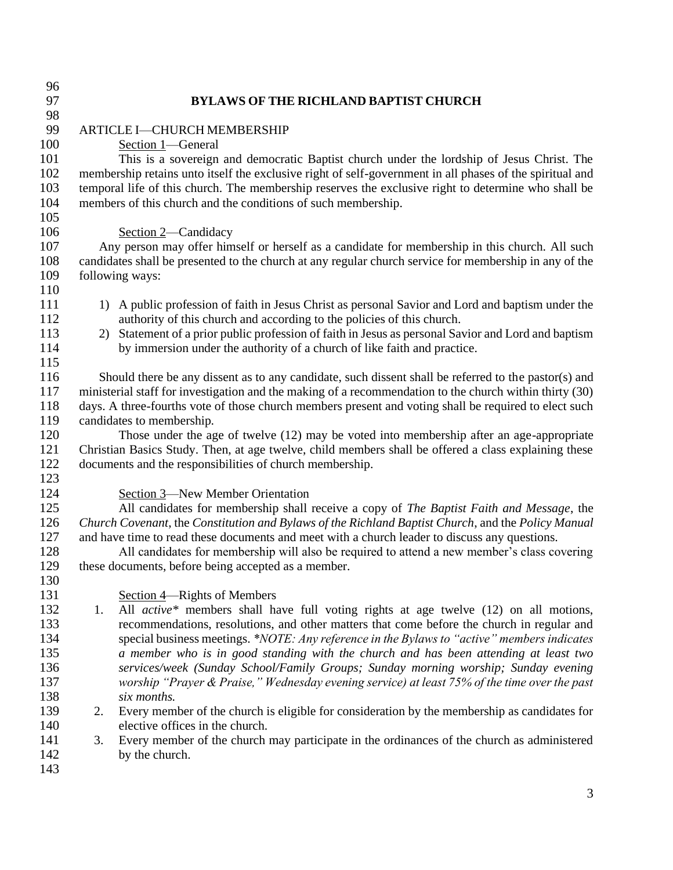| 96  |                                                                                                          |  |  |
|-----|----------------------------------------------------------------------------------------------------------|--|--|
| 97  | <b>BYLAWS OF THE RICHLAND BAPTIST CHURCH</b>                                                             |  |  |
| 98  |                                                                                                          |  |  |
| 99  | ARTICLE I-CHURCH MEMBERSHIP                                                                              |  |  |
| 100 | Section 1-General                                                                                        |  |  |
| 101 | This is a sovereign and democratic Baptist church under the lordship of Jesus Christ. The                |  |  |
| 102 | membership retains unto itself the exclusive right of self-government in all phases of the spiritual and |  |  |
| 103 | temporal life of this church. The membership reserves the exclusive right to determine who shall be      |  |  |
| 104 | members of this church and the conditions of such membership.                                            |  |  |
| 105 |                                                                                                          |  |  |
| 106 | Section 2-Candidacy                                                                                      |  |  |
| 107 | Any person may offer himself or herself as a candidate for membership in this church. All such           |  |  |
| 108 | candidates shall be presented to the church at any regular church service for membership in any of the   |  |  |
| 109 | following ways:                                                                                          |  |  |
| 110 |                                                                                                          |  |  |
| 111 | 1) A public profession of faith in Jesus Christ as personal Savior and Lord and baptism under the        |  |  |
| 112 | authority of this church and according to the policies of this church.                                   |  |  |
| 113 | Statement of a prior public profession of faith in Jesus as personal Savior and Lord and baptism<br>2)   |  |  |
| 114 | by immersion under the authority of a church of like faith and practice.                                 |  |  |
| 115 |                                                                                                          |  |  |
| 116 | Should there be any dissent as to any candidate, such dissent shall be referred to the pastor(s) and     |  |  |
| 117 | ministerial staff for investigation and the making of a recommendation to the church within thirty (30)  |  |  |
| 118 | days. A three-fourths vote of those church members present and voting shall be required to elect such    |  |  |
| 119 | candidates to membership.                                                                                |  |  |
| 120 | Those under the age of twelve (12) may be voted into membership after an age-appropriate                 |  |  |
| 121 | Christian Basics Study. Then, at age twelve, child members shall be offered a class explaining these     |  |  |
| 122 | documents and the responsibilities of church membership.                                                 |  |  |
| 123 |                                                                                                          |  |  |
| 124 | <b>Section 3—New Member Orientation</b>                                                                  |  |  |
| 125 | All candidates for membership shall receive a copy of The Baptist Faith and Message, the                 |  |  |
| 126 | Church Covenant, the Constitution and Bylaws of the Richland Baptist Church, and the Policy Manual       |  |  |
| 127 | and have time to read these documents and meet with a church leader to discuss any questions.            |  |  |
| 128 | All candidates for membership will also be required to attend a new member's class covering              |  |  |
| 129 | these documents, before being accepted as a member.                                                      |  |  |
| 130 |                                                                                                          |  |  |
| 131 | Section 4—Rights of Members                                                                              |  |  |
| 132 | All active* members shall have full voting rights at age twelve (12) on all motions,<br>1.               |  |  |
| 133 | recommendations, resolutions, and other matters that come before the church in regular and               |  |  |
| 134 | special business meetings. *NOTE: Any reference in the Bylaws to "active" members indicates              |  |  |
| 135 | a member who is in good standing with the church and has been attending at least two                     |  |  |
| 136 | services/week (Sunday School/Family Groups; Sunday morning worship; Sunday evening                       |  |  |
| 137 | worship "Prayer & Praise," Wednesday evening service) at least 75% of the time over the past             |  |  |
| 138 | six months.                                                                                              |  |  |
| 139 | Every member of the church is eligible for consideration by the membership as candidates for<br>2.       |  |  |
| 140 | elective offices in the church.                                                                          |  |  |
| 141 | Every member of the church may participate in the ordinances of the church as administered<br>3.         |  |  |
| 142 | by the church.                                                                                           |  |  |
| 143 |                                                                                                          |  |  |
|     |                                                                                                          |  |  |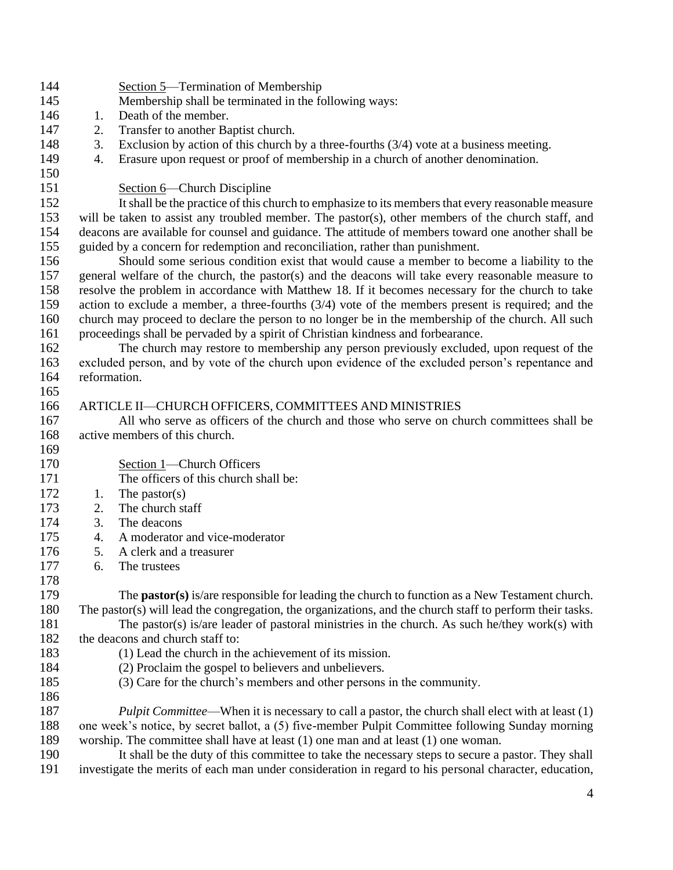| 144 | Section 5—Termination of Membership                                                                              |                                                                                                                                                    |  |  |
|-----|------------------------------------------------------------------------------------------------------------------|----------------------------------------------------------------------------------------------------------------------------------------------------|--|--|
| 145 | Membership shall be terminated in the following ways:                                                            |                                                                                                                                                    |  |  |
| 146 | Death of the member.<br>1.                                                                                       |                                                                                                                                                    |  |  |
| 147 | 2.<br>Transfer to another Baptist church.                                                                        |                                                                                                                                                    |  |  |
| 148 | 3.                                                                                                               | Exclusion by action of this church by a three-fourths $(3/4)$ vote at a business meeting.                                                          |  |  |
| 149 | 4.                                                                                                               | Erasure upon request or proof of membership in a church of another denomination.                                                                   |  |  |
| 150 |                                                                                                                  |                                                                                                                                                    |  |  |
| 151 |                                                                                                                  | Section 6—Church Discipline                                                                                                                        |  |  |
| 152 |                                                                                                                  | It shall be the practice of this church to emphasize to its members that every reasonable measure                                                  |  |  |
| 153 | will be taken to assist any troubled member. The pastor(s), other members of the church staff, and               |                                                                                                                                                    |  |  |
| 154 | deacons are available for counsel and guidance. The attitude of members toward one another shall be              |                                                                                                                                                    |  |  |
| 155 | guided by a concern for redemption and reconciliation, rather than punishment.                                   |                                                                                                                                                    |  |  |
| 156 | Should some serious condition exist that would cause a member to become a liability to the                       |                                                                                                                                                    |  |  |
| 157 | general welfare of the church, the pastor(s) and the deacons will take every reasonable measure to               |                                                                                                                                                    |  |  |
| 158 |                                                                                                                  |                                                                                                                                                    |  |  |
| 159 | resolve the problem in accordance with Matthew 18. If it becomes necessary for the church to take                |                                                                                                                                                    |  |  |
| 160 | action to exclude a member, a three-fourths $(3/4)$ vote of the members present is required; and the             |                                                                                                                                                    |  |  |
| 161 | church may proceed to declare the person to no longer be in the membership of the church. All such               |                                                                                                                                                    |  |  |
| 162 | proceedings shall be pervaded by a spirit of Christian kindness and forbearance.                                 |                                                                                                                                                    |  |  |
| 163 | The church may restore to membership any person previously excluded, upon request of the                         |                                                                                                                                                    |  |  |
| 164 | excluded person, and by vote of the church upon evidence of the excluded person's repentance and<br>reformation. |                                                                                                                                                    |  |  |
| 165 |                                                                                                                  |                                                                                                                                                    |  |  |
| 166 |                                                                                                                  |                                                                                                                                                    |  |  |
| 167 |                                                                                                                  | ARTICLE II-CHURCH OFFICERS, COMMITTEES AND MINISTRIES<br>All who serve as officers of the church and those who serve on church committees shall be |  |  |
| 168 |                                                                                                                  | active members of this church.                                                                                                                     |  |  |
| 169 |                                                                                                                  |                                                                                                                                                    |  |  |
| 170 |                                                                                                                  |                                                                                                                                                    |  |  |
|     |                                                                                                                  | Section 1—Church Officers<br>The officers of this church shall be:                                                                                 |  |  |
| 171 |                                                                                                                  |                                                                                                                                                    |  |  |
| 172 | 1.                                                                                                               | The pastor $(s)$<br>The church staff                                                                                                               |  |  |
| 173 | 2.                                                                                                               |                                                                                                                                                    |  |  |
| 174 | 3.                                                                                                               | The deacons                                                                                                                                        |  |  |
| 175 | 4.                                                                                                               | A moderator and vice-moderator                                                                                                                     |  |  |
| 176 | 5.                                                                                                               | A clerk and a treasurer                                                                                                                            |  |  |
| 177 | 6.                                                                                                               | The trustees                                                                                                                                       |  |  |
| 178 |                                                                                                                  |                                                                                                                                                    |  |  |
| 179 |                                                                                                                  | The <b>pastor(s)</b> is/are responsible for leading the church to function as a New Testament church.                                              |  |  |
| 180 | The pastor(s) will lead the congregation, the organizations, and the church staff to perform their tasks.        |                                                                                                                                                    |  |  |
| 181 |                                                                                                                  | The pastor(s) is/are leader of pastoral ministries in the church. As such he/they work(s) with                                                     |  |  |
| 182 | the deacons and church staff to:                                                                                 |                                                                                                                                                    |  |  |
| 183 | (1) Lead the church in the achievement of its mission.                                                           |                                                                                                                                                    |  |  |
| 184 |                                                                                                                  | (2) Proclaim the gospel to believers and unbelievers.                                                                                              |  |  |
| 185 |                                                                                                                  | (3) Care for the church's members and other persons in the community.                                                                              |  |  |
| 186 |                                                                                                                  |                                                                                                                                                    |  |  |
| 187 |                                                                                                                  | <i>Pulpit Committee</i> —When it is necessary to call a pastor, the church shall elect with at least (1)                                           |  |  |
| 188 | one week's notice, by secret ballot, a (5) five-member Pulpit Committee following Sunday morning                 |                                                                                                                                                    |  |  |
| 189 | worship. The committee shall have at least $(1)$ one man and at least $(1)$ one woman.                           |                                                                                                                                                    |  |  |
| 190 | It shall be the duty of this committee to take the necessary steps to secure a pastor. They shall                |                                                                                                                                                    |  |  |
| 191 | investigate the merits of each man under consideration in regard to his personal character, education,           |                                                                                                                                                    |  |  |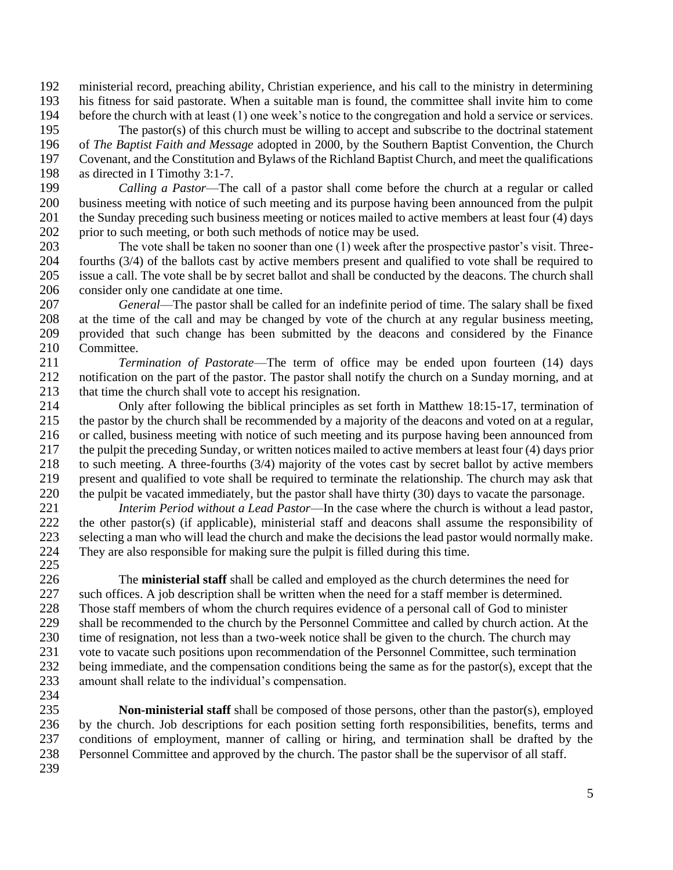ministerial record, preaching ability, Christian experience, and his call to the ministry in determining his fitness for said pastorate. When a suitable man is found, the committee shall invite him to come before the church with at least (1) one week's notice to the congregation and hold a service or services.

 The pastor(s) of this church must be willing to accept and subscribe to the doctrinal statement of *The Baptist Faith and Message* adopted in 2000, by the Southern Baptist Convention, the Church Covenant, and the Constitution and Bylaws of the Richland Baptist Church, and meet the qualifications

198 as directed in I Timothy 3:1-7.<br>199 *Calling a Pastor*—The *Calling a Pastor*—The call of a pastor shall come before the church at a regular or called business meeting with notice of such meeting and its purpose having been announced from the pulpit 201 the Sunday preceding such business meeting or notices mailed to active members at least four (4) days prior to such meeting, or both such methods of notice may be used.

 The vote shall be taken no sooner than one (1) week after the prospective pastor's visit. Three- fourths (3/4) of the ballots cast by active members present and qualified to vote shall be required to issue a call. The vote shall be by secret ballot and shall be conducted by the deacons. The church shall consider only one candidate at one time.

 *General*—The pastor shall be called for an indefinite period of time. The salary shall be fixed at the time of the call and may be changed by vote of the church at any regular business meeting, provided that such change has been submitted by the deacons and considered by the Finance Committee.

 *Termination of Pastorate*—The term of office may be ended upon fourteen (14) days 212 notification on the part of the pastor. The pastor shall notify the church on a Sunday morning, and at 213 that time the church shall vote to accept his resignation.

 Only after following the biblical principles as set forth in Matthew 18:15-17, termination of the pastor by the church shall be recommended by a majority of the deacons and voted on at a regular, or called, business meeting with notice of such meeting and its purpose having been announced from the pulpit the preceding Sunday, or written notices mailed to active members at least four (4) days prior to such meeting. A three-fourths (3/4) majority of the votes cast by secret ballot by active members present and qualified to vote shall be required to terminate the relationship. The church may ask that the pulpit be vacated immediately, but the pastor shall have thirty (30) days to vacate the parsonage.

 *Interim Period without a Lead Pastor*—In the case where the church is without a lead pastor, the other pastor(s) (if applicable), ministerial staff and deacons shall assume the responsibility of 223 selecting a man who will lead the church and make the decisions the lead pastor would normally make.<br>224 They are also responsible for making sure the pulpit is filled during this time. They are also responsible for making sure the pulpit is filled during this time. 

 The **ministerial staff** shall be called and employed as the church determines the need for such offices. A job description shall be written when the need for a staff member is determined. Those staff members of whom the church requires evidence of a personal call of God to minister 229 shall be recommended to the church by the Personnel Committee and called by church action. At the time of resignation, not less than a two-week notice shall be given to the church. The church may vote to vacate such positions upon recommendation of the Personnel Committee, such termination 232 being immediate, and the compensation conditions being the same as for the pastor(s), except that the amount shall relate to the individual's compensation.

 **Non-ministerial staff** shall be composed of those persons, other than the pastor(s), employed by the church. Job descriptions for each position setting forth responsibilities, benefits, terms and conditions of employment, manner of calling or hiring, and termination shall be drafted by the Personnel Committee and approved by the church. The pastor shall be the supervisor of all staff.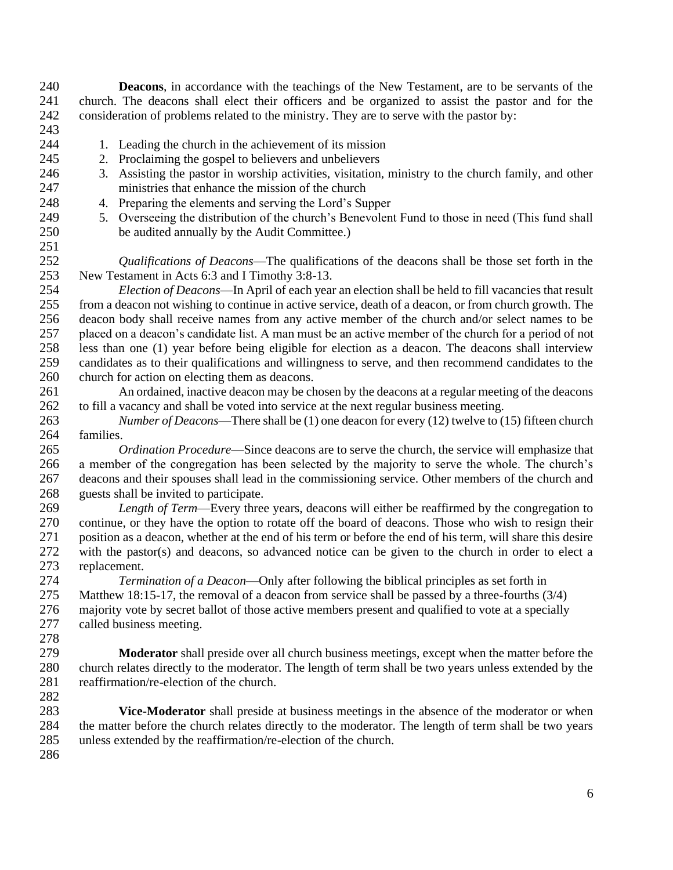church. The deacons shall elect their officers and be organized to assist the pastor and for the consideration of problems related to the ministry. They are to serve with the pastor by: 1. Leading the church in the achievement of its mission 2. Proclaiming the gospel to believers and unbelievers 3. Assisting the pastor in worship activities, visitation, ministry to the church family, and other ministries that enhance the mission of the church 4. Preparing the elements and serving the Lord's Supper 5. Overseeing the distribution of the church's Benevolent Fund to those in need (This fund shall be audited annually by the Audit Committee.) *Qualifications of Deacons*—The qualifications of the deacons shall be those set forth in the New Testament in Acts 6:3 and I Timothy 3:8-13. *Election of Deacons*—In April of each year an election shall be held to fill vacancies that result from a deacon not wishing to continue in active service, death of a deacon, or from church growth. The deacon body shall receive names from any active member of the church and/or select names to be placed on a deacon's candidate list. A man must be an active member of the church for a period of not less than one (1) year before being eligible for election as a deacon. The deacons shall interview candidates as to their qualifications and willingness to serve, and then recommend candidates to the church for action on electing them as deacons. An ordained, inactive deacon may be chosen by the deacons at a regular meeting of the deacons to fill a vacancy and shall be voted into service at the next regular business meeting. *Number of Deacons*—There shall be (1) one deacon for every (12) twelve to (15) fifteen church families. *Ordination Procedure*—Since deacons are to serve the church, the service will emphasize that a member of the congregation has been selected by the majority to serve the whole. The church's deacons and their spouses shall lead in the commissioning service. Other members of the church and guests shall be invited to participate. *Length of Term*—Every three years, deacons will either be reaffirmed by the congregation to continue, or they have the option to rotate off the board of deacons. Those who wish to resign their 271 position as a deacon, whether at the end of his term or before the end of his term, will share this desire<br>272 with the pastor(s) and deacons, so advanced notice can be given to the church in order to elect a with the pastor(s) and deacons, so advanced notice can be given to the church in order to elect a replacement. *Termination of a Deacon*—Only after following the biblical principles as set forth in

**Deacons**, in accordance with the teachings of the New Testament, are to be servants of the

 Matthew 18:15-17, the removal of a deacon from service shall be passed by a three-fourths (3/4) majority vote by secret ballot of those active members present and qualified to vote at a specially called business meeting.

 **Moderator** shall preside over all church business meetings, except when the matter before the church relates directly to the moderator. The length of term shall be two years unless extended by the reaffirmation/re-election of the church.

 **Vice-Moderator** shall preside at business meetings in the absence of the moderator or when the matter before the church relates directly to the moderator. The length of term shall be two years unless extended by the reaffirmation/re-election of the church.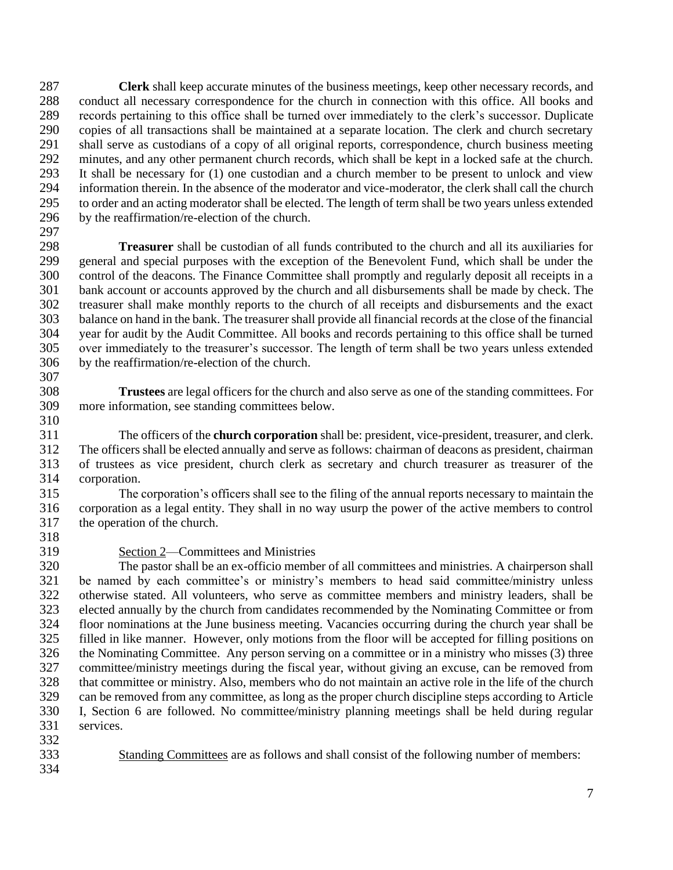**Clerk** shall keep accurate minutes of the business meetings, keep other necessary records, and conduct all necessary correspondence for the church in connection with this office. All books and records pertaining to this office shall be turned over immediately to the clerk's successor. Duplicate copies of all transactions shall be maintained at a separate location. The clerk and church secretary shall serve as custodians of a copy of all original reports, correspondence, church business meeting minutes, and any other permanent church records, which shall be kept in a locked safe at the church. It shall be necessary for (1) one custodian and a church member to be present to unlock and view information therein. In the absence of the moderator and vice-moderator, the clerk shall call the church to order and an acting moderator shall be elected. The length of term shall be two years unless extended by the reaffirmation/re-election of the church. 

 **Treasurer** shall be custodian of all funds contributed to the church and all its auxiliaries for general and special purposes with the exception of the Benevolent Fund, which shall be under the control of the deacons. The Finance Committee shall promptly and regularly deposit all receipts in a bank account or accounts approved by the church and all disbursements shall be made by check. The treasurer shall make monthly reports to the church of all receipts and disbursements and the exact balance on hand in the bank. The treasurer shall provide all financial records at the close of the financial year for audit by the Audit Committee. All books and records pertaining to this office shall be turned over immediately to the treasurer's successor. The length of term shall be two years unless extended by the reaffirmation/re-election of the church.

 **Trustees** are legal officers for the church and also serve as one of the standing committees. For more information, see standing committees below.

 The officers of the **church corporation** shall be: president, vice-president, treasurer, and clerk. The officers shall be elected annually and serve as follows: chairman of deacons as president, chairman of trustees as vice president, church clerk as secretary and church treasurer as treasurer of the corporation.

 The corporation's officers shall see to the filing of the annual reports necessary to maintain the corporation as a legal entity. They shall in no way usurp the power of the active members to control the operation of the church.

318<br>319

# Section 2—Committees and Ministries

 The pastor shall be an ex-officio member of all committees and ministries. A chairperson shall be named by each committee's or ministry's members to head said committee/ministry unless otherwise stated. All volunteers, who serve as committee members and ministry leaders, shall be elected annually by the church from candidates recommended by the Nominating Committee or from floor nominations at the June business meeting. Vacancies occurring during the church year shall be filled in like manner. However, only motions from the floor will be accepted for filling positions on the Nominating Committee. Any person serving on a committee or in a ministry who misses (3) three committee/ministry meetings during the fiscal year, without giving an excuse, can be removed from that committee or ministry. Also, members who do not maintain an active role in the life of the church can be removed from any committee, as long as the proper church discipline steps according to Article I, Section 6 are followed. No committee/ministry planning meetings shall be held during regular services.

- 
- Standing Committees are as follows and shall consist of the following number of members:
-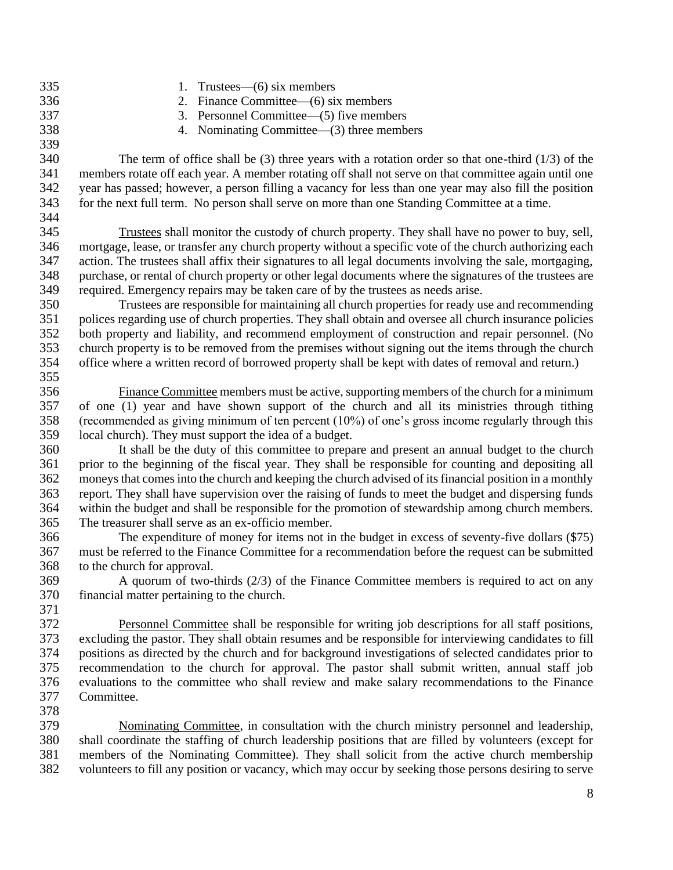1. Trustees—(6) six members 2. Finance Committee—(6) six members 3. Personnel Committee—(5) five members 4. Nominating Committee—(3) three members The term of office shall be (3) three years with a rotation order so that one-third (1/3) of the members rotate off each year. A member rotating off shall not serve on that committee again until one year has passed; however, a person filling a vacancy for less than one year may also fill the position for the next full term. No person shall serve on more than one Standing Committee at a time. Trustees shall monitor the custody of church property. They shall have no power to buy, sell, mortgage, lease, or transfer any church property without a specific vote of the church authorizing each action. The trustees shall affix their signatures to all legal documents involving the sale, mortgaging, purchase, or rental of church property or other legal documents where the signatures of the trustees are required. Emergency repairs may be taken care of by the trustees as needs arise. Trustees are responsible for maintaining all church properties for ready use and recommending polices regarding use of church properties. They shall obtain and oversee all church insurance policies both property and liability, and recommend employment of construction and repair personnel. (No church property is to be removed from the premises without signing out the items through the church office where a written record of borrowed property shall be kept with dates of removal and return.) Finance Committee members must be active, supporting members of the church for a minimum of one (1) year and have shown support of the church and all its ministries through tithing (recommended as giving minimum of ten percent (10%) of one's gross income regularly through this local church). They must support the idea of a budget. It shall be the duty of this committee to prepare and present an annual budget to the church prior to the beginning of the fiscal year. They shall be responsible for counting and depositing all moneys that comes into the church and keeping the church advised of its financial position in a monthly report. They shall have supervision over the raising of funds to meet the budget and dispersing funds within the budget and shall be responsible for the promotion of stewardship among church members. The treasurer shall serve as an ex-officio member. The expenditure of money for items not in the budget in excess of seventy-five dollars (\$75) must be referred to the Finance Committee for a recommendation before the request can be submitted to the church for approval. A quorum of two-thirds (2/3) of the Finance Committee members is required to act on any financial matter pertaining to the church. Personnel Committee shall be responsible for writing job descriptions for all staff positions, excluding the pastor. They shall obtain resumes and be responsible for interviewing candidates to fill positions as directed by the church and for background investigations of selected candidates prior to recommendation to the church for approval. The pastor shall submit written, annual staff job evaluations to the committee who shall review and make salary recommendations to the Finance

 Nominating Committee, in consultation with the church ministry personnel and leadership, shall coordinate the staffing of church leadership positions that are filled by volunteers (except for members of the Nominating Committee). They shall solicit from the active church membership volunteers to fill any position or vacancy, which may occur by seeking those persons desiring to serve

Committee.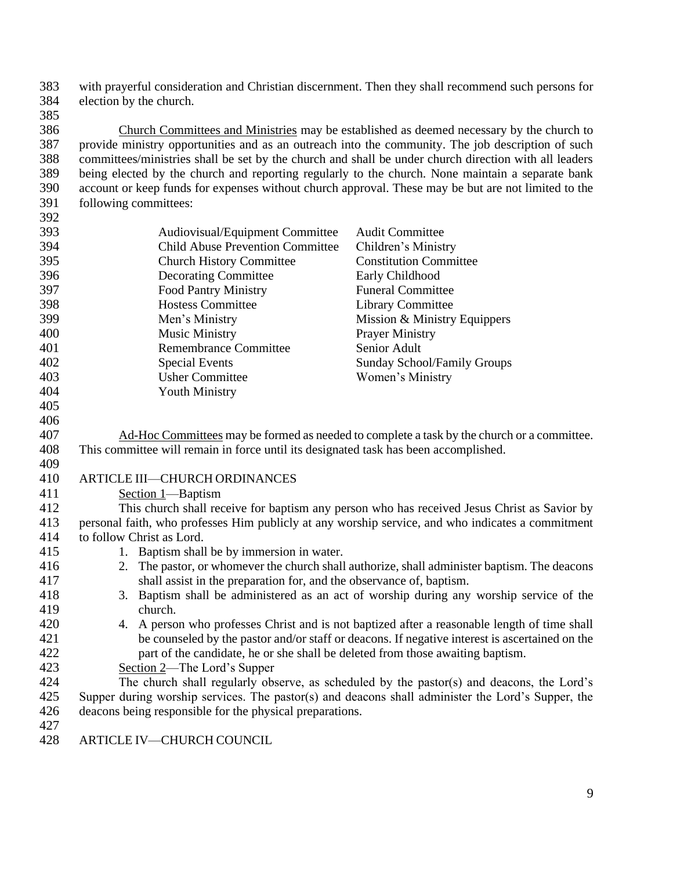with prayerful consideration and Christian discernment. Then they shall recommend such persons for election by the church.

 Church Committees and Ministries may be established as deemed necessary by the church to provide ministry opportunities and as an outreach into the community. The job description of such committees/ministries shall be set by the church and shall be under church direction with all leaders being elected by the church and reporting regularly to the church. None maintain a separate bank account or keep funds for expenses without church approval. These may be but are not limited to the following committees:

| 393 | Audiovisual/Equipment Committee                                                                   | <b>Audit Committee</b>                                                                       |  |  |
|-----|---------------------------------------------------------------------------------------------------|----------------------------------------------------------------------------------------------|--|--|
| 394 | <b>Child Abuse Prevention Committee</b>                                                           | Children's Ministry                                                                          |  |  |
| 395 | <b>Church History Committee</b>                                                                   | <b>Constitution Committee</b>                                                                |  |  |
| 396 | <b>Decorating Committee</b>                                                                       | Early Childhood                                                                              |  |  |
| 397 | <b>Food Pantry Ministry</b>                                                                       | <b>Funeral Committee</b>                                                                     |  |  |
| 398 | <b>Hostess Committee</b>                                                                          | <b>Library Committee</b>                                                                     |  |  |
| 399 | Men's Ministry                                                                                    | Mission & Ministry Equippers                                                                 |  |  |
| 400 | <b>Music Ministry</b>                                                                             | <b>Prayer Ministry</b>                                                                       |  |  |
| 401 | <b>Remembrance Committee</b>                                                                      | Senior Adult                                                                                 |  |  |
| 402 | <b>Special Events</b>                                                                             | <b>Sunday School/Family Groups</b>                                                           |  |  |
| 403 | <b>Usher Committee</b>                                                                            | Women's Ministry                                                                             |  |  |
| 404 | <b>Youth Ministry</b>                                                                             |                                                                                              |  |  |
| 405 |                                                                                                   |                                                                                              |  |  |
| 406 |                                                                                                   |                                                                                              |  |  |
| 407 |                                                                                                   | Ad-Hoc Committees may be formed as needed to complete a task by the church or a committee.   |  |  |
| 408 | This committee will remain in force until its designated task has been accomplished.              |                                                                                              |  |  |
| 409 |                                                                                                   |                                                                                              |  |  |
| 410 | ARTICLE III-CHURCH ORDINANCES                                                                     |                                                                                              |  |  |
| 411 | Section 1-Baptism                                                                                 |                                                                                              |  |  |
| 412 | This church shall receive for baptism any person who has received Jesus Christ as Savior by       |                                                                                              |  |  |
| 413 | personal faith, who professes Him publicly at any worship service, and who indicates a commitment |                                                                                              |  |  |
| 414 | to follow Christ as Lord.                                                                         |                                                                                              |  |  |
| 415 | 1. Baptism shall be by immersion in water.                                                        |                                                                                              |  |  |
| 416 | 2. The pastor, or whomever the church shall authorize, shall administer baptism. The deacons      |                                                                                              |  |  |
| 417 | shall assist in the preparation for, and the observance of, baptism.                              |                                                                                              |  |  |
| 418 | 3. Baptism shall be administered as an act of worship during any worship service of the           |                                                                                              |  |  |
| 419 | church.                                                                                           |                                                                                              |  |  |
| 420 |                                                                                                   | 4. A person who professes Christ and is not baptized after a reasonable length of time shall |  |  |
| 421 | be counseled by the pastor and/or staff or deacons. If negative interest is ascertained on the    |                                                                                              |  |  |
| 422 | part of the candidate, he or she shall be deleted from those awaiting baptism.                    |                                                                                              |  |  |
| 423 | Section 2—The Lord's Supper                                                                       |                                                                                              |  |  |
| 424 | The church shall regularly observe, as scheduled by the pastor(s) and deacons, the Lord's         |                                                                                              |  |  |
| 425 | Supper during worship services. The pastor(s) and deacons shall administer the Lord's Supper, the |                                                                                              |  |  |
| 426 | deacons being responsible for the physical preparations.                                          |                                                                                              |  |  |
| 427 |                                                                                                   |                                                                                              |  |  |
| 428 | ARTICLE IV-CHURCH COUNCIL                                                                         |                                                                                              |  |  |
|     |                                                                                                   |                                                                                              |  |  |